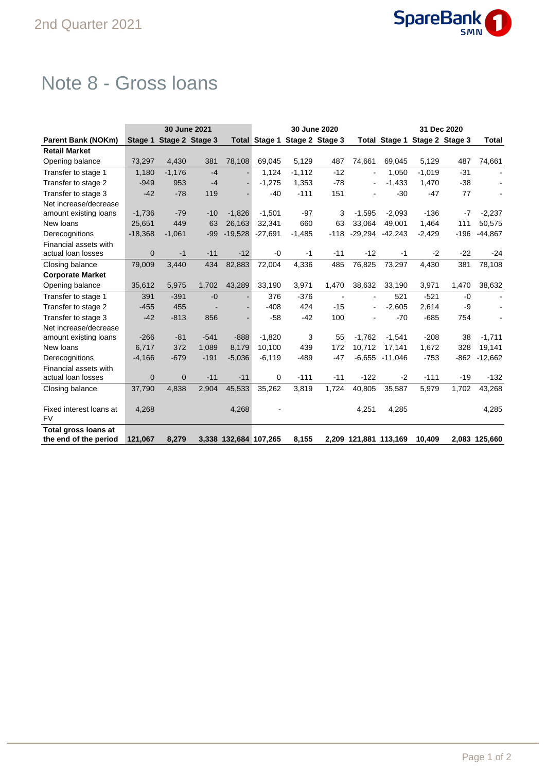

## Note 8 - Gross loans

|                           | 30 June 2021 |                         |        |                       |           |                               | 30 June 2020             |                          | 31 Dec 2020           |                               |        |                |  |
|---------------------------|--------------|-------------------------|--------|-----------------------|-----------|-------------------------------|--------------------------|--------------------------|-----------------------|-------------------------------|--------|----------------|--|
| <b>Parent Bank (NOKm)</b> |              | Stage 1 Stage 2 Stage 3 |        |                       |           | Total Stage 1 Stage 2 Stage 3 |                          |                          |                       | Total Stage 1 Stage 2 Stage 3 |        | <b>Total</b>   |  |
| <b>Retail Market</b>      |              |                         |        |                       |           |                               |                          |                          |                       |                               |        |                |  |
| Opening balance           | 73,297       | 4,430                   | 381    | 78,108                | 69.045    | 5,129                         | 487                      | 74.661                   | 69,045                | 5,129                         | 487    | 74,661         |  |
| Transfer to stage 1       | 1,180        | $-1,176$                | $-4$   |                       | 1,124     | $-1,112$                      | $-12$                    | $\blacksquare$           | 1,050                 | $-1,019$                      | $-31$  |                |  |
| Transfer to stage 2       | $-949$       | 953                     | $-4$   |                       | $-1,275$  | 1,353                         | $-78$                    | $\blacksquare$           | $-1,433$              | 1,470                         | $-38$  |                |  |
| Transfer to stage 3       | $-42$        | $-78$                   | 119    |                       | $-40$     | $-111$                        | 151                      |                          | $-30$                 | $-47$                         | 77     |                |  |
| Net increase/decrease     |              |                         |        |                       |           |                               |                          |                          |                       |                               |        |                |  |
| amount existing loans     | $-1,736$     | $-79$                   | $-10$  | $-1.826$              | $-1.501$  | $-97$                         | 3                        | $-1.595$                 | $-2,093$              | $-136$                        | $-7$   | $-2,237$       |  |
| New loans                 | 25,651       | 449                     | 63     | 26,163                | 32,341    | 660                           | 63                       | 33.064                   | 49,001                | 1,464                         | 111    | 50,575         |  |
| Derecognitions            | $-18,368$    | $-1,061$                | $-99$  | $-19,528$             | $-27,691$ | $-1,485$                      | $-118$                   | $-29,294$                | $-42,243$             | $-2,429$                      | $-196$ | $-44,867$      |  |
| Financial assets with     |              |                         |        |                       |           |                               |                          |                          |                       |                               |        |                |  |
| actual loan losses        | $\mathbf{0}$ | $-1$                    | $-11$  | $-12$                 | $-0$      | $-1$                          | $-11$                    | $-12$                    | $-1$                  | $-2$                          | $-22$  | $-24$          |  |
| Closing balance           | 79,009       | 3,440                   | 434    | 82,883                | 72,004    | 4,336                         | 485                      | 76,825                   | 73,297                | 4,430                         | 381    | 78,108         |  |
| <b>Corporate Market</b>   |              |                         |        |                       |           |                               |                          |                          |                       |                               |        |                |  |
| Opening balance           | 35,612       | 5,975                   | 1,702  | 43,289                | 33,190    | 3,971                         | 1,470                    | 38,632                   | 33,190                | 3,971                         | 1,470  | 38,632         |  |
| Transfer to stage 1       | 391          | $-391$                  | $-0$   |                       | 376       | $-376$                        | $\overline{\phantom{a}}$ | $\blacksquare$           | 521                   | $-521$                        | $-0$   | $\blacksquare$ |  |
| Transfer to stage 2       | $-455$       | 455                     |        |                       | $-408$    | 424                           | $-15$                    | $\overline{\phantom{a}}$ | $-2,605$              | 2,614                         | -9     |                |  |
| Transfer to stage 3       | $-42$        | $-813$                  | 856    |                       | $-58$     | $-42$                         | 100                      |                          | $-70$                 | $-685$                        | 754    |                |  |
| Net increase/decrease     |              |                         |        |                       |           |                               |                          |                          |                       |                               |        |                |  |
| amount existing loans     | $-266$       | $-81$                   | $-541$ | $-888$                | $-1,820$  | 3                             | 55                       | $-1,762$                 | $-1,541$              | $-208$                        | 38     | $-1,711$       |  |
| New loans                 | 6.717        | 372                     | 1,089  | 8.179                 | 10.100    | 439                           | 172                      | 10.712                   | 17.141                | 1,672                         | 328    | 19,141         |  |
| Derecognitions            | $-4,166$     | $-679$                  | $-191$ | $-5,036$              | $-6,119$  | $-489$                        | $-47$                    | $-6,655$                 | $-11,046$             | $-753$                        | $-862$ | $-12,662$      |  |
| Financial assets with     |              |                         |        |                       |           |                               |                          |                          |                       |                               |        |                |  |
| actual loan losses        | $\mathbf{0}$ | $\mathbf{0}$            | $-11$  | $-11$                 | 0         | $-111$                        | $-11$                    | $-122$                   | $-2$                  | $-111$                        | $-19$  | $-132$         |  |
| Closing balance           | 37,790       | 4.838                   | 2,904  | 45,533                | 35,262    | 3,819                         | 1,724                    | 40,805                   | 35,587                | 5,979                         | 1,702  | 43,268         |  |
|                           |              |                         |        |                       |           |                               |                          |                          |                       |                               |        |                |  |
| Fixed interest loans at   | 4,268        |                         |        | 4,268                 |           |                               |                          | 4,251                    | 4,285                 |                               |        | 4,285          |  |
| <b>FV</b>                 |              |                         |        |                       |           |                               |                          |                          |                       |                               |        |                |  |
| Total gross loans at      |              |                         |        |                       |           |                               |                          |                          |                       |                               |        |                |  |
| the end of the period     | 121,067      | 8,279                   |        | 3,338 132,684 107,265 |           | 8,155                         |                          |                          | 2,209 121,881 113,169 | 10,409                        |        | 2,083 125,660  |  |